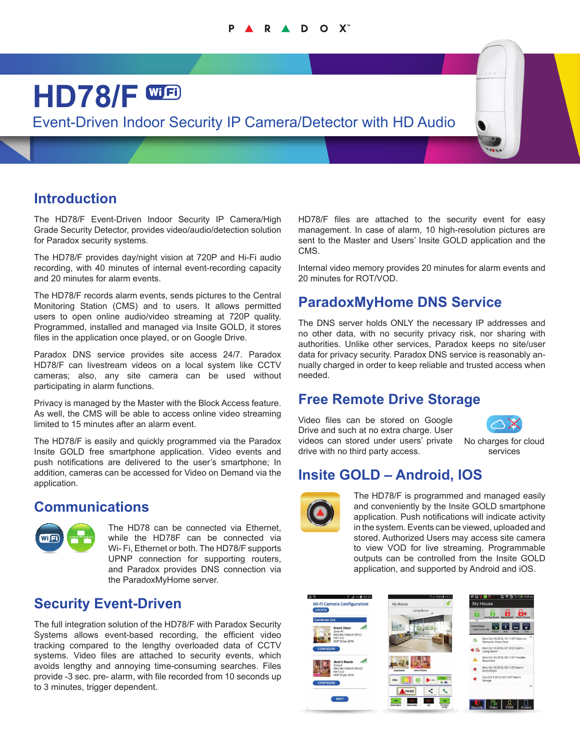#### R A D O X

# **HD78/F** Event-Driven Indoor Security IP Camera/Detector with HD Audio

## **Introduction**

The HD78/F Event-Driven Indoor Security IP Camera/High Grade Security Detector, provides video/audio/detection solution for Paradox security systems.

The HD78/F provides day/night vision at 720P and Hi-Fi audio recording, with 40 minutes of internal event-recording capacity and 20 minutes for alarm events.

The HD78/F records alarm events, sends pictures to the Central Monitoring Station (CMS) and to users. It allows permitted users to open online audio/video streaming at 720P quality. Programmed, installed and managed via Insite GOLD, it stores files in the application once played, or on Google Drive.

Paradox DNS service provides site access 24/7. Paradox HD78/F can livestream videos on a local system like CCTV cameras; also, any site camera can be used without participating in alarm functions.

Privacy is managed by the Master with the Block Access feature. As well, the CMS will be able to access online video streaming limited to 15 minutes after an alarm event.

The HD78/F is easily and quickly programmed via the Paradox Insite GOLD free smartphone application. Video events and push notifications are delivered to the user's smartphone; In addition, cameras can be accessed for Video on Demand via the application.

#### **Communications**



The HD78 can be connected via Ethernet, while the HD78F can be connected via Wi- Fi, Ethernet or both. The HD78/F supports UPNP connection for supporting routers, and Paradox provides DNS connection via the ParadoxMyHome server.

#### **Security Event-Driven**

The full integration solution of the HD78/F with Paradox Security Systems allows event-based recording, the efficient video tracking compared to the lengthy overloaded data of CCTV systems. Video files are attached to security events, which avoids lengthy and annoying time-consuming searches. Files provide -3 sec. pre- alarm, with file recorded from 10 seconds up to 3 minutes, trigger dependent.

HD78/F files are attached to the security event for easy management. In case of alarm, 10 high-resolution pictures are sent to the Master and Users' Insite GOLD application and the CMS.

Internal video memory provides 20 minutes for alarm events and 20 minutes for ROT/VOD.

# **ParadoxMyHome DNS Service**

The DNS server holds ONLY the necessary IP addresses and no other data, with no security privacy risk, nor sharing with authorities. Unlike other services, Paradox keeps no site/user data for privacy security. Paradox DNS service is reasonably annually charged in order to keep reliable and trusted access when needed.

### **Free Remote Drive Storage**

Video files can be stored on Google Drive and such at no extra charge. User videos can stored under users' private drive with no third party access.



No charges for cloud services

### **Insite GOLD – Android, IOS**



The HD78/F is programmed and managed easily and conveniently by the Insite GOLD smartphone application. Push notifications will indicate activity in the system. Events can be viewed, uploaded and stored. Authorized Users may access site camera to view VOD for live streaming. Programmable outputs can be controlled from the Insite GOLD application, and supported by Android and iOS.